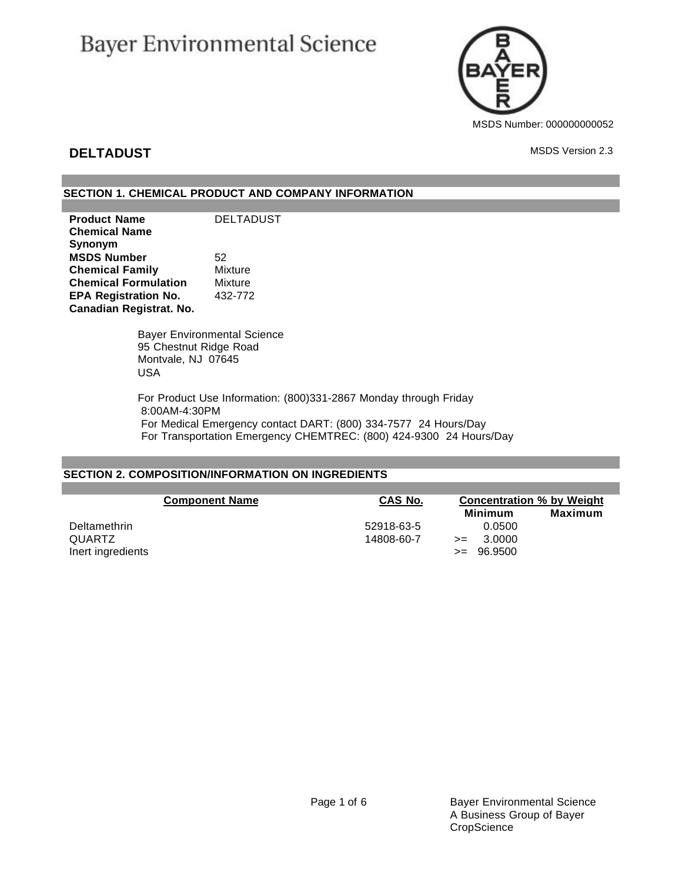# **Bayer Environmental Science**



## **DELTADUST** MSDS Version 2.3

## **SECTION 1. CHEMICAL PRODUCT AND COMPANY INFORMATION**

**Product Name** DELTADUST **Chemical Name Synonym MSDS Number** 52 **Chemical Family** Mixture **Chemical Formulation** Mixture **EPA Registration No.** 432-772 **Canadian Registrat. No.**

> Bayer Environmental Science 95 Chestnut Ridge Road Montvale, NJ 07645 USA

For Product Use Information: (800)331-2867 Monday through Friday 8:00AM-4:30PM For Medical Emergency contact DART: (800) 334-7577 24 Hours/Day For Transportation Emergency CHEMTREC: (800) 424-9300 24 Hours/Day

## **SECTION 2. COMPOSITION/INFORMATION ON INGREDIENTS**

| <b>Component Name</b> | CAS No.    | <b>Concentration % by Weight</b><br>Minimum | Maximum |
|-----------------------|------------|---------------------------------------------|---------|
| Deltamethrin          | 52918-63-5 | 0.0500                                      |         |
| QUARTZ                | 14808-60-7 | 3.0000<br>$>=$                              |         |
| Inert ingredients     |            | 96.9500<br>$>=$                             |         |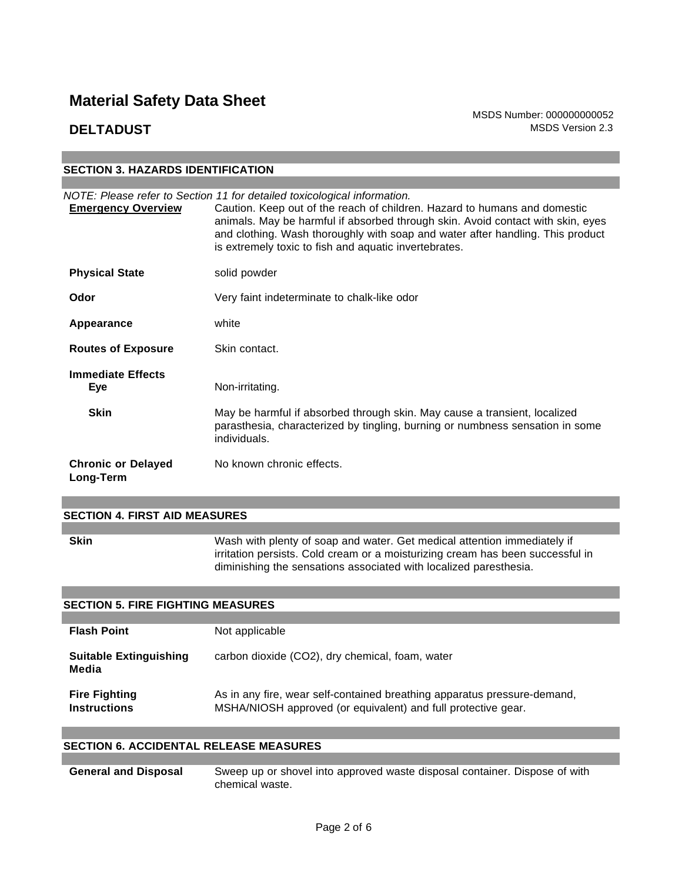MSDS Number: 000000000052 **DELTADUST** MSDS Version 2.3

| <b>SECTION 3. HAZARDS IDENTIFICATION</b> |                                                                                                                                                                                                                                                                                                                                                                                     |  |  |
|------------------------------------------|-------------------------------------------------------------------------------------------------------------------------------------------------------------------------------------------------------------------------------------------------------------------------------------------------------------------------------------------------------------------------------------|--|--|
|                                          |                                                                                                                                                                                                                                                                                                                                                                                     |  |  |
| <b>Emergency Overview</b>                | NOTE: Please refer to Section 11 for detailed toxicological information.<br>Caution. Keep out of the reach of children. Hazard to humans and domestic<br>animals. May be harmful if absorbed through skin. Avoid contact with skin, eyes<br>and clothing. Wash thoroughly with soap and water after handling. This product<br>is extremely toxic to fish and aquatic invertebrates. |  |  |
| <b>Physical State</b>                    | solid powder                                                                                                                                                                                                                                                                                                                                                                        |  |  |
| Odor                                     | Very faint indeterminate to chalk-like odor                                                                                                                                                                                                                                                                                                                                         |  |  |
| Appearance                               | white                                                                                                                                                                                                                                                                                                                                                                               |  |  |
| <b>Routes of Exposure</b>                | Skin contact.                                                                                                                                                                                                                                                                                                                                                                       |  |  |
| <b>Immediate Effects</b><br><b>Eye</b>   | Non-irritating.                                                                                                                                                                                                                                                                                                                                                                     |  |  |
| <b>Skin</b>                              | May be harmful if absorbed through skin. May cause a transient, localized<br>parasthesia, characterized by tingling, burning or numbness sensation in some<br>individuals.                                                                                                                                                                                                          |  |  |
| <b>Chronic or Delayed</b><br>Long-Term   | No known chronic effects.                                                                                                                                                                                                                                                                                                                                                           |  |  |

### **SECTION 4. FIRST AID MEASURES**

**Skin** Wash with plenty of soap and water. Get medical attention immediately if irritation persists. Cold cream or a moisturizing cream has been successful in diminishing the sensations associated with localized paresthesia.

## **SECTION 5. FIRE FIGHTING MEASURES**

| <b>Flash Point</b>                          | Not applicable                                                                                                                            |
|---------------------------------------------|-------------------------------------------------------------------------------------------------------------------------------------------|
| <b>Suitable Extinguishing</b><br>Media      | carbon dioxide (CO2), dry chemical, foam, water                                                                                           |
| <b>Fire Fighting</b><br><b>Instructions</b> | As in any fire, wear self-contained breathing apparatus pressure-demand,<br>MSHA/NIOSH approved (or equivalent) and full protective gear. |

## **SECTION 6. ACCIDENTAL RELEASE MEASURES**

**General and Disposal** Sweep up or shovel into approved waste disposal container. Dispose of with chemical waste.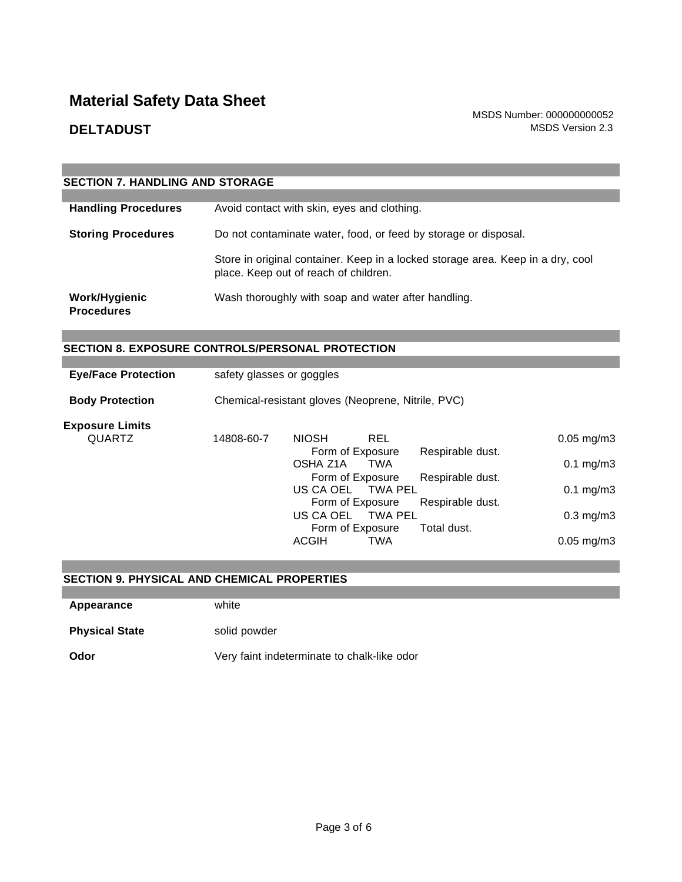|                                    | <b>SECTION 7. HANDLING AND STORAGE</b>                                                                                   |  |  |  |  |
|------------------------------------|--------------------------------------------------------------------------------------------------------------------------|--|--|--|--|
|                                    |                                                                                                                          |  |  |  |  |
| <b>Handling Procedures</b>         | Avoid contact with skin, eyes and clothing.                                                                              |  |  |  |  |
| <b>Storing Procedures</b>          | Do not contaminate water, food, or feed by storage or disposal.                                                          |  |  |  |  |
|                                    | Store in original container. Keep in a locked storage area. Keep in a dry, cool<br>place. Keep out of reach of children. |  |  |  |  |
| Work/Hygienic<br><b>Procedures</b> | Wash thoroughly with soap and water after handling.                                                                      |  |  |  |  |

## **SECTION 8. EXPOSURE CONTROLS/PERSONAL PROTECTION**

| <b>Eye/Face Protection</b> |                  | safety glasses or goggles                          |                  |                  |                          |
|----------------------------|------------------|----------------------------------------------------|------------------|------------------|--------------------------|
| <b>Body Protection</b>     |                  | Chemical-resistant gloves (Neoprene, Nitrile, PVC) |                  |                  |                          |
| <b>Exposure Limits</b>     |                  |                                                    |                  |                  |                          |
| <b>QUARTZ</b>              | 14808-60-7       | <b>NIOSH</b>                                       | <b>REL</b>       |                  | $0.05 \; mg/m3$          |
|                            |                  |                                                    | Form of Exposure | Respirable dust. |                          |
|                            |                  | OSHA Z1A                                           | TWA              |                  | $0.1 \text{ mg/m}$ 3     |
|                            | Form of Exposure |                                                    | Respirable dust. |                  |                          |
|                            |                  | US CA OEL                                          | TWA PEL          |                  | $0.1 \text{ mg/m}$ 3     |
|                            |                  |                                                    | Form of Exposure | Respirable dust. |                          |
|                            |                  | US CA OEL                                          | TWA PEL          |                  | $0.3$ mg/m $3$           |
|                            |                  |                                                    | Form of Exposure | Total dust.      |                          |
|                            |                  | <b>ACGIH</b>                                       | <b>TWA</b>       |                  | $0.05 \,\mathrm{mq/m}$ 3 |

## **SECTION 9. PHYSICAL AND CHEMICAL PROPERTIES**

**Appearance** white

**Physical State** solid powder

**Odor** Very faint indeterminate to chalk-like odor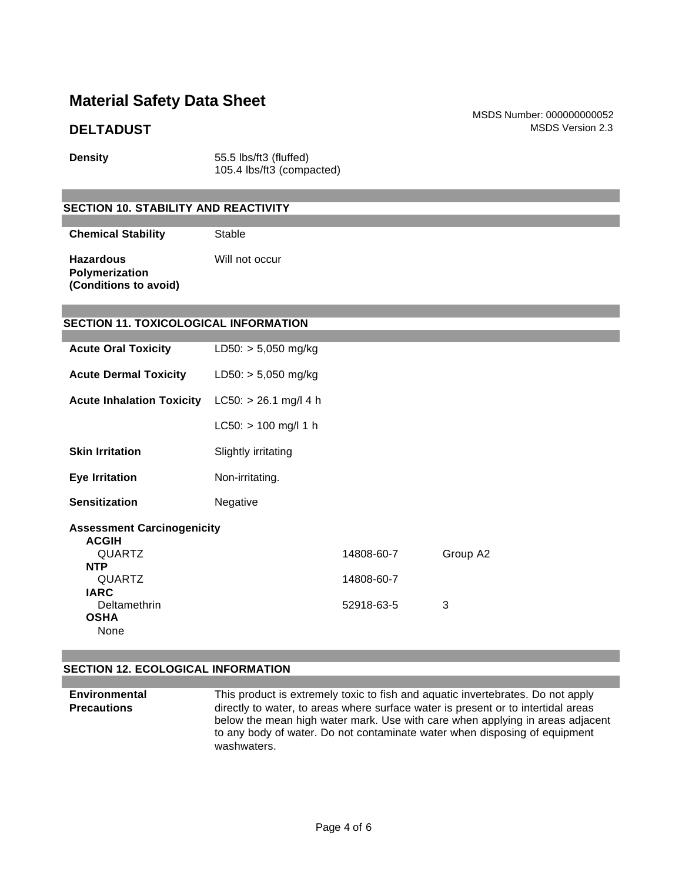**Density** 55.5 lbs/ft3 (fluffed) 105.4 lbs/ft3 (compacted)

## **SECTION 10. STABILITY AND REACTIVITY**

**Chemical Stability** Stable

| <b>Hazardous</b>      | Will not occur |
|-----------------------|----------------|
| <b>Polymerization</b> |                |
| (Conditions to avoid) |                |

## **SECTION 11. TOXICOLOGICAL INFORMATION**

| <b>Acute Oral Toxicity</b>                                                                                                        | $LD50: > 5,050$ mg/kg   |                                        |               |
|-----------------------------------------------------------------------------------------------------------------------------------|-------------------------|----------------------------------------|---------------|
| <b>Acute Dermal Toxicity</b>                                                                                                      | $LD50: > 5,050$ mg/kg   |                                        |               |
| <b>Acute Inhalation Toxicity</b>                                                                                                  | $LC50: > 26.1$ mg/l 4 h |                                        |               |
|                                                                                                                                   | $LC50:$ > 100 mg/l 1 h  |                                        |               |
| <b>Skin Irritation</b>                                                                                                            | Slightly irritating     |                                        |               |
| <b>Eye Irritation</b>                                                                                                             | Non-irritating.         |                                        |               |
| <b>Sensitization</b>                                                                                                              | Negative                |                                        |               |
| <b>Assessment Carcinogenicity</b><br><b>ACGIH</b><br>QUARTZ<br><b>NTP</b><br>QUARTZ<br><b>IARC</b><br>Deltamethrin<br><b>OSHA</b> |                         | 14808-60-7<br>14808-60-7<br>52918-63-5 | Group A2<br>3 |
| None                                                                                                                              |                         |                                        |               |

## **SECTION 12. ECOLOGICAL INFORMATION**

**Environmental Precautions** This product is extremely toxic to fish and aquatic invertebrates. Do not apply directly to water, to areas where surface water is present or to intertidal areas below the mean high water mark. Use with care when applying in areas adjacent to any body of water. Do not contaminate water when disposing of equipment washwaters.

MSDS Number: 000000000052 **DELTADUST** MSDS Version 2.3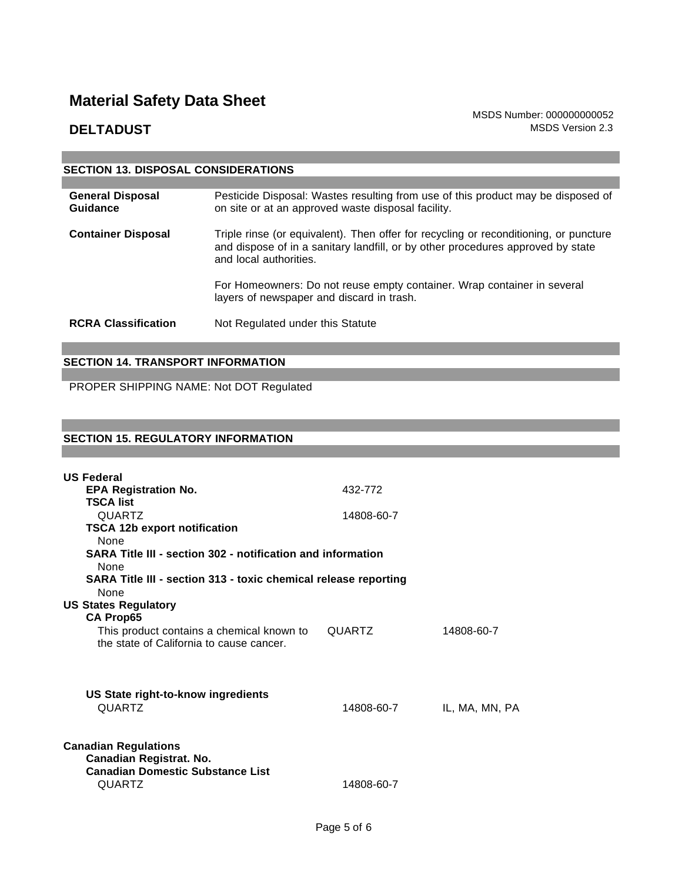MSDS Number: 000000000052 **DELTADUST** MSDS Version 2.3

| <b>SECTION 13. DISPOSAL CONSIDERATIONS</b> |                                                                                                                                                                                                    |
|--------------------------------------------|----------------------------------------------------------------------------------------------------------------------------------------------------------------------------------------------------|
|                                            |                                                                                                                                                                                                    |
| <b>General Disposal</b><br>Guidance        | Pesticide Disposal: Wastes resulting from use of this product may be disposed of<br>on site or at an approved waste disposal facility.                                                             |
| <b>Container Disposal</b>                  | Triple rinse (or equivalent). Then offer for recycling or reconditioning, or puncture<br>and dispose of in a sanitary landfill, or by other procedures approved by state<br>and local authorities. |
|                                            | For Homeowners: Do not reuse empty container. Wrap container in several<br>layers of newspaper and discard in trash.                                                                               |
| <b>RCRA Classification</b>                 | Not Regulated under this Statute                                                                                                                                                                   |

## **SECTION 14. TRANSPORT INFORMATION**

PROPER SHIPPING NAME: Not DOT Regulated

## **SECTION 15. REGULATORY INFORMATION**

| <b>US Federal</b>                                                                                           |               |                |
|-------------------------------------------------------------------------------------------------------------|---------------|----------------|
| <b>EPA Registration No.</b>                                                                                 | 432-772       |                |
| <b>TSCA list</b>                                                                                            |               |                |
| <b>QUARTZ</b>                                                                                               | 14808-60-7    |                |
| <b>TSCA 12b export notification</b><br><b>None</b>                                                          |               |                |
| SARA Title III - section 302 - notification and information<br>None                                         |               |                |
| SARA Title III - section 313 - toxic chemical release reporting<br><b>None</b>                              |               |                |
| <b>US States Regulatory</b>                                                                                 |               |                |
| <b>CA Prop65</b>                                                                                            |               |                |
| This product contains a chemical known to<br>the state of California to cause cancer.                       | <b>QUARTZ</b> | 14808-60-7     |
| US State right-to-know ingredients<br><b>QUARTZ</b>                                                         | 14808-60-7    | IL, MA, MN, PA |
| <b>Canadian Regulations</b><br>Canadian Registrat. No.<br><b>Canadian Domestic Substance List</b><br>QUARTZ | 14808-60-7    |                |